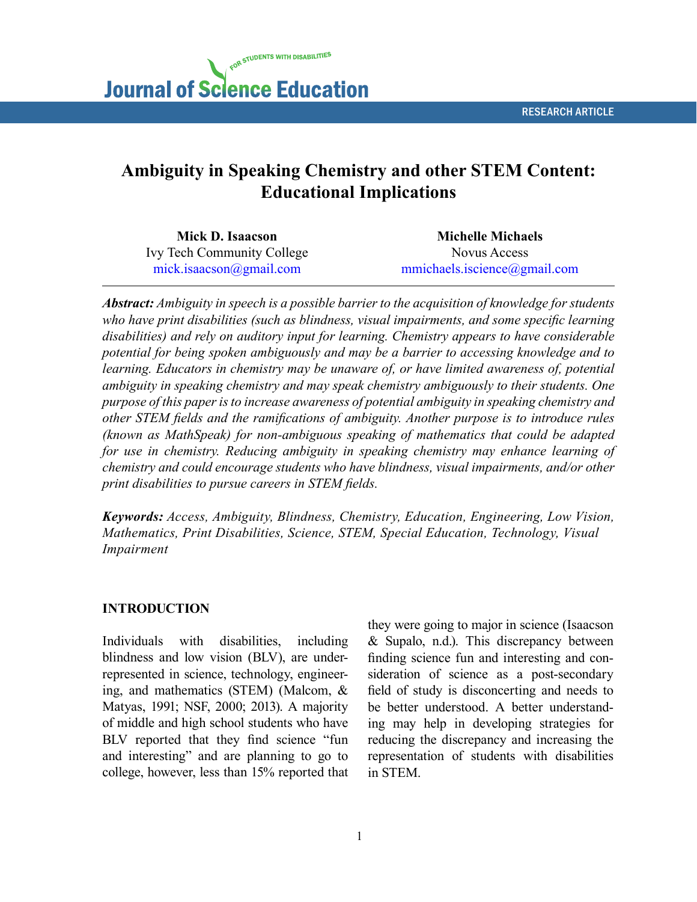RESEARCH ARTICLE

# FOR STUDENTS WITH DISABILITIES **Journal of Science Education**

# **Ambiguity in Speaking Chemistry and other STEM Content: Educational Implications**

| Mick D. Isaacson                  | <b>Michelle Michaels</b>     |  |  |
|-----------------------------------|------------------------------|--|--|
| <b>Ivy Tech Community College</b> | Novus Access                 |  |  |
| mick.isaacson@gmail.com           | mmichaels.iscience@gmail.com |  |  |

*Abstract: Ambiguity in speech is a possible barrier to the acquisition of knowledge for students who have print disabilities (such as blindness, visual impairments, and some specific learning disabilities) and rely on auditory input for learning. Chemistry appears to have considerable potential for being spoken ambiguously and may be a barrier to accessing knowledge and to*  learning. Educators in chemistry may be unaware of, or have limited awareness of, potential *ambiguity in speaking chemistry and may speak chemistry ambiguously to their students. One purpose of this paper is to increase awareness of potential ambiguity in speaking chemistry and other STEM fields and the ramifications of ambiguity. Another purpose is to introduce rules (known as MathSpeak) for non-ambiguous speaking of mathematics that could be adapted for use in chemistry. Reducing ambiguity in speaking chemistry may enhance learning of chemistry and could encourage students who have blindness, visual impairments, and/or other print disabilities to pursue careers in STEM fields.*

*Keywords: Access, Ambiguity, Blindness, Chemistry, Education, Engineering, Low Vision, Mathematics, Print Disabilities, Science, STEM, Special Education, Technology, Visual Impairment*

#### **INTRODUCTION**

Individuals with disabilities, including blindness and low vision (BLV), are underrepresented in science, technology, engineering, and mathematics (STEM) (Malcom, & Matyas, 1991; NSF, 2000; 2013). A majority of middle and high school students who have BLV reported that they find science "fun and interesting" and are planning to go to college, however, less than 15% reported that they were going to major in science (Isaacson & Supalo, n.d.). This discrepancy between finding science fun and interesting and consideration of science as a post-secondary field of study is disconcerting and needs to be better understood. A better understanding may help in developing strategies for reducing the discrepancy and increasing the representation of students with disabilities in STEM.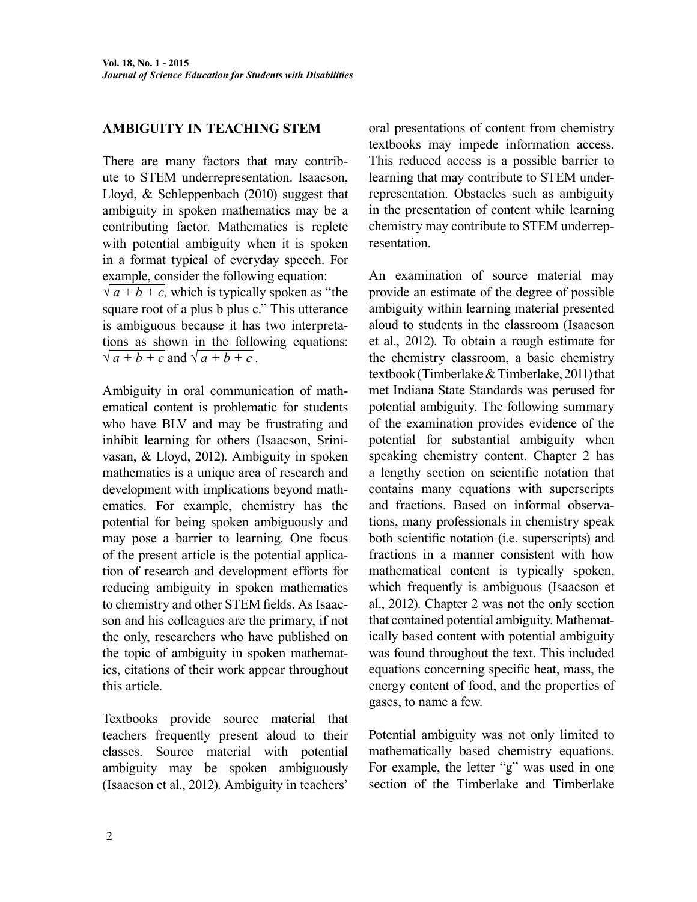#### **AMBIGUITY IN TEACHING STEM**

There are many factors that may contribute to STEM underrepresentation. Isaacson, Lloyd, & Schleppenbach (2010) suggest that ambiguity in spoken mathematics may be a contributing factor. Mathematics is replete with potential ambiguity when it is spoken in a format typical of everyday speech. For example, consider the following equation:  $\sqrt{a+b+c}$ , which is typically spoken as "the

square root of a plus b plus c." This utterance is ambiguous because it has two interpretations as shown in the following equations:  $\sqrt{a+b+c}$  and  $\sqrt{a+b+c}$ .

Ambiguity in oral communication of mathematical content is problematic for students who have BLV and may be frustrating and inhibit learning for others (Isaacson, Srinivasan, & Lloyd, 2012). Ambiguity in spoken mathematics is a unique area of research and development with implications beyond mathematics. For example, chemistry has the potential for being spoken ambiguously and may pose a barrier to learning. One focus of the present article is the potential application of research and development efforts for reducing ambiguity in spoken mathematics to chemistry and other STEM fields. As Isaacson and his colleagues are the primary, if not the only, researchers who have published on the topic of ambiguity in spoken mathematics, citations of their work appear throughout this article.

Textbooks provide source material that teachers frequently present aloud to their classes. Source material with potential ambiguity may be spoken ambiguously (Isaacson et al., 2012). Ambiguity in teachers'

oral presentations of content from chemistry textbooks may impede information access. This reduced access is a possible barrier to learning that may contribute to STEM underrepresentation. Obstacles such as ambiguity in the presentation of content while learning chemistry may contribute to STEM underrepresentation.

An examination of source material may provide an estimate of the degree of possible ambiguity within learning material presented aloud to students in the classroom (Isaacson et al., 2012). To obtain a rough estimate for the chemistry classroom, a basic chemistry textbook (Timberlake & Timberlake, 2011) that met Indiana State Standards was perused for potential ambiguity. The following summary of the examination provides evidence of the potential for substantial ambiguity when speaking chemistry content. Chapter 2 has a lengthy section on scientific notation that contains many equations with superscripts and fractions. Based on informal observations, many professionals in chemistry speak both scientific notation (i.e. superscripts) and fractions in a manner consistent with how mathematical content is typically spoken, which frequently is ambiguous (Isaacson et al., 2012). Chapter 2 was not the only section that contained potential ambiguity. Mathematically based content with potential ambiguity was found throughout the text. This included equations concerning specific heat, mass, the energy content of food, and the properties of gases, to name a few.

Potential ambiguity was not only limited to mathematically based chemistry equations. For example, the letter "g" was used in one section of the Timberlake and Timberlake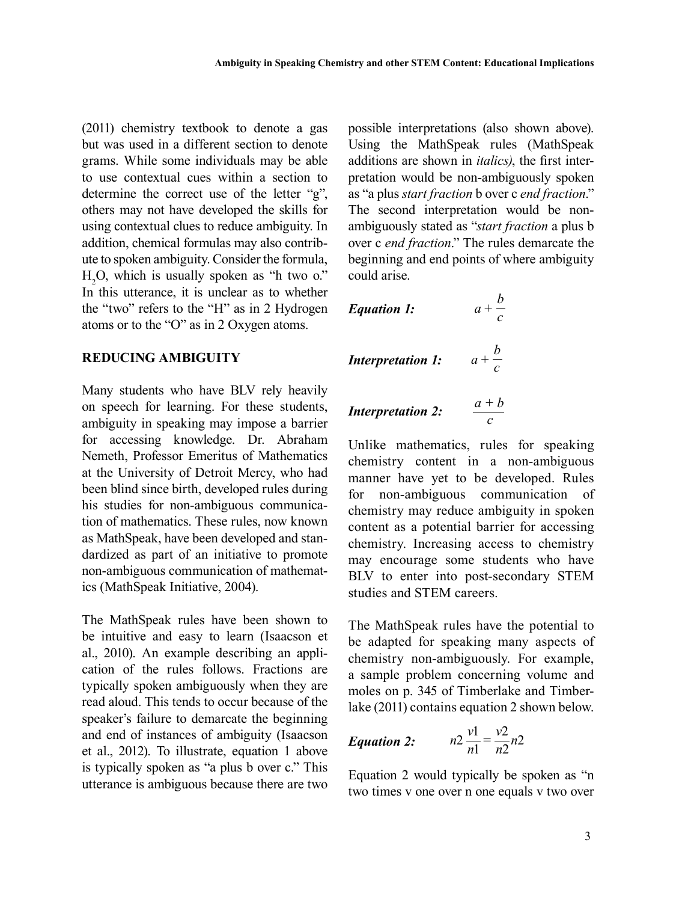(2011) chemistry textbook to denote a gas but was used in a different section to denote grams. While some individuals may be able to use contextual cues within a section to determine the correct use of the letter "g", others may not have developed the skills for using contextual clues to reduce ambiguity. In addition, chemical formulas may also contribute to spoken ambiguity. Consider the formula,  $H_2O$ , which is usually spoken as "h two o." In this utterance, it is unclear as to whether the "two" refers to the "H" as in 2 Hydrogen atoms or to the "O" as in 2 Oxygen atoms.

#### **REDUCING AMBIGUITY**

Many students who have BLV rely heavily on speech for learning. For these students, ambiguity in speaking may impose a barrier for accessing knowledge. Dr. Abraham Nemeth, Professor Emeritus of Mathematics at the University of Detroit Mercy, who had been blind since birth, developed rules during his studies for non-ambiguous communication of mathematics. These rules, now known as MathSpeak, have been developed and standardized as part of an initiative to promote non-ambiguous communication of mathematics (MathSpeak Initiative, 2004).

The MathSpeak rules have been shown to be intuitive and easy to learn (Isaacson et al., 2010). An example describing an application of the rules follows. Fractions are typically spoken ambiguously when they are read aloud. This tends to occur because of the speaker's failure to demarcate the beginning and end of instances of ambiguity (Isaacson et al., 2012). To illustrate, equation 1 above is typically spoken as "a plus b over c." This utterance is ambiguous because there are two possible interpretations (also shown above). Using the MathSpeak rules (MathSpeak additions are shown in *italics)*, the first interpretation would be non-ambiguously spoken as "a plus *start fraction* b over c *end fraction*." The second interpretation would be nonambiguously stated as "*start fraction* a plus b over c *end fraction*." The rules demarcate the beginning and end points of where ambiguity could arise.

| <i>Equation 1:</i>       | $a + \frac{b}{c}$ |
|--------------------------|-------------------|
| <i>Interpretation 1:</i> | $a + \frac{b}{c}$ |
| <i>Interpretation 2:</i> | $\frac{a+b}{c}$   |

Unlike mathematics, rules for speaking chemistry content in a non-ambiguous manner have yet to be developed. Rules for non-ambiguous communication of chemistry may reduce ambiguity in spoken content as a potential barrier for accessing chemistry. Increasing access to chemistry may encourage some students who have BLV to enter into post-secondary STEM studies and STEM careers.

*c*

The MathSpeak rules have the potential to be adapted for speaking many aspects of chemistry non-ambiguously. For example, a sample problem concerning volume and moles on p. 345 of Timberlake and Timberlake (2011) contains equation 2 shown below.

***Equation 2:*** 
$$
n2 \frac{v1}{n1} = \frac{v2}{n2}n2
$$

Equation 2 would typically be spoken as "n two times v one over n one equals v two over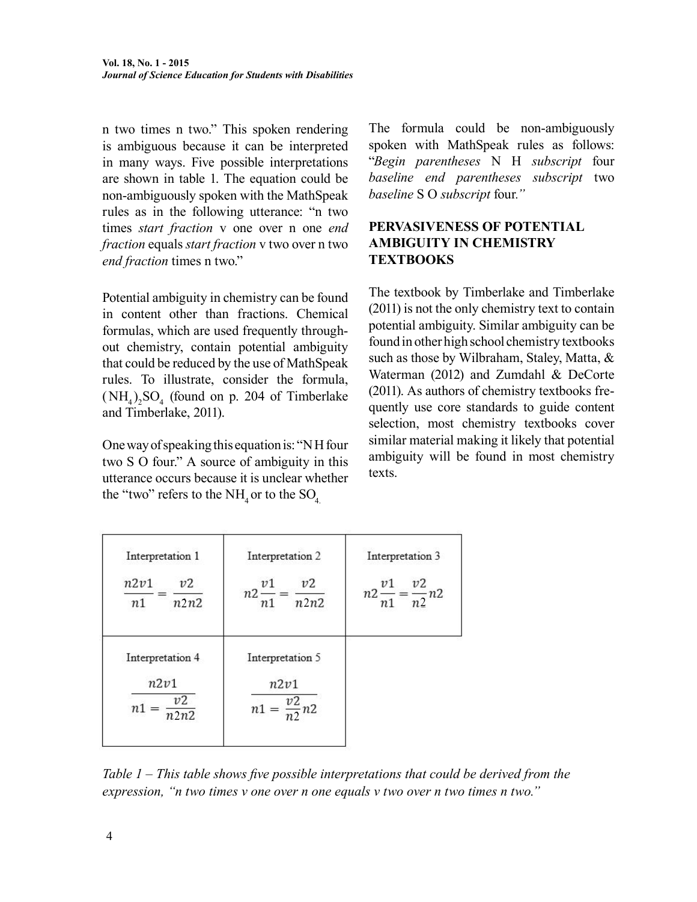n two times n two." This spoken rendering is ambiguous because it can be interpreted in many ways. Five possible interpretations are shown in table 1. The equation could be non-ambiguously spoken with the MathSpeak rules as in the following utterance: "n two times *start fraction* v one over n one *end fraction* equals *start fraction* v two over n two *end fraction* times n two."

Potential ambiguity in chemistry can be found in content other than fractions. Chemical formulas, which are used frequently throughout chemistry, contain potential ambiguity that could be reduced by the use of MathSpeak rules. To illustrate, consider the formula,  $(NH_4)_2SO_4$  (found on p. 204 of Timberlake and Timberlake, 2011).

One way of speaking this equation is: "N H four two S O four." A source of ambiguity in this utterance occurs because it is unclear whether the "two" refers to the NH<sub>4</sub> or to the  $SO<sub>4</sub>$ .

The formula could be non-ambiguously spoken with MathSpeak rules as follows: "*Begin parentheses* N H *subscript* four *baseline end parentheses subscript* two *baseline* S O *subscript* four*."*

#### **PERVASIVENESS OF POTENTIAL AMBIGUITY IN CHEMISTRY TEXTBOOKS**

The textbook by Timberlake and Timberlake (2011) is not the only chemistry text to contain potential ambiguity. Similar ambiguity can be found in other high school chemistry textbooks such as those by Wilbraham, Staley, Matta, & Waterman (2012) and Zumdahl & DeCorte (2011). As authors of chemistry textbooks frequently use core standards to guide content selection, most chemistry textbooks cover similar material making it likely that potential ambiguity will be found in most chemistry texts.

| Interpretation 1<br>n2v1<br>v2<br>n2n2<br>n1                                                         | Interpretation 2<br>v2<br>v <sub>1</sub><br>$n2-$<br>n2n2<br>n <sub>1</sub> | Interpretation 3<br>v2<br>v1<br>$n2\frac{1}{n1} = \frac{1}{n2}n2$ |
|------------------------------------------------------------------------------------------------------|-----------------------------------------------------------------------------|-------------------------------------------------------------------|
| Interpretation 4<br>Interpretation 5<br>n2v1<br>n2v1<br>υ2<br>$\frac{v_2}{n_2}$ n2<br>$n1 =$<br>n2n2 |                                                                             |                                                                   |

*Table 1 – This table shows five possible interpretations that could be derived from the expression, "n two times v one over n one equals v two over n two times n two."*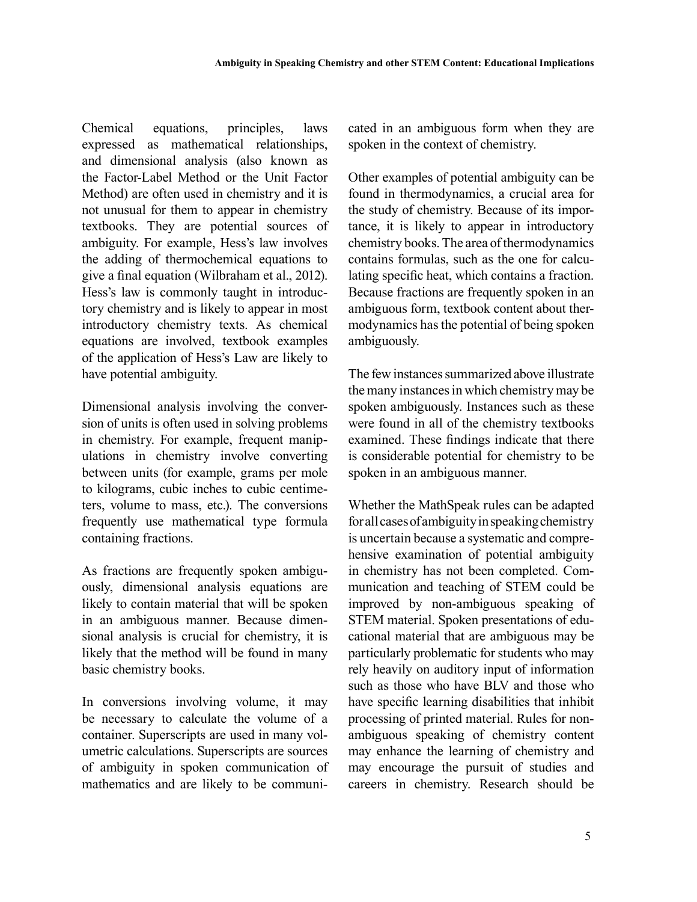Chemical equations, principles, laws expressed as mathematical relationships, and dimensional analysis (also known as the Factor-Label Method or the Unit Factor Method) are often used in chemistry and it is not unusual for them to appear in chemistry textbooks. They are potential sources of ambiguity. For example, Hess's law involves the adding of thermochemical equations to give a final equation (Wilbraham et al., 2012). Hess's law is commonly taught in introductory chemistry and is likely to appear in most introductory chemistry texts. As chemical equations are involved, textbook examples of the application of Hess's Law are likely to have potential ambiguity.

Dimensional analysis involving the conversion of units is often used in solving problems in chemistry. For example, frequent manipulations in chemistry involve converting between units (for example, grams per mole to kilograms, cubic inches to cubic centimeters, volume to mass, etc.). The conversions frequently use mathematical type formula containing fractions.

As fractions are frequently spoken ambiguously, dimensional analysis equations are likely to contain material that will be spoken in an ambiguous manner. Because dimensional analysis is crucial for chemistry, it is likely that the method will be found in many basic chemistry books.

In conversions involving volume, it may be necessary to calculate the volume of a container. Superscripts are used in many volumetric calculations. Superscripts are sources of ambiguity in spoken communication of mathematics and are likely to be communicated in an ambiguous form when they are spoken in the context of chemistry.

Other examples of potential ambiguity can be found in thermodynamics, a crucial area for the study of chemistry. Because of its importance, it is likely to appear in introductory chemistry books. The area of thermodynamics contains formulas, such as the one for calculating specific heat, which contains a fraction. Because fractions are frequently spoken in an ambiguous form, textbook content about thermodynamics has the potential of being spoken ambiguously.

The few instances summarized above illustrate the many instances in which chemistry may be spoken ambiguously. Instances such as these were found in all of the chemistry textbooks examined. These findings indicate that there is considerable potential for chemistry to be spoken in an ambiguous manner.

Whether the MathSpeak rules can be adapted for all cases of ambiguity in speaking chemistry is uncertain because a systematic and comprehensive examination of potential ambiguity in chemistry has not been completed. Communication and teaching of STEM could be improved by non-ambiguous speaking of STEM material. Spoken presentations of educational material that are ambiguous may be particularly problematic for students who may rely heavily on auditory input of information such as those who have BLV and those who have specific learning disabilities that inhibit processing of printed material. Rules for nonambiguous speaking of chemistry content may enhance the learning of chemistry and may encourage the pursuit of studies and careers in chemistry. Research should be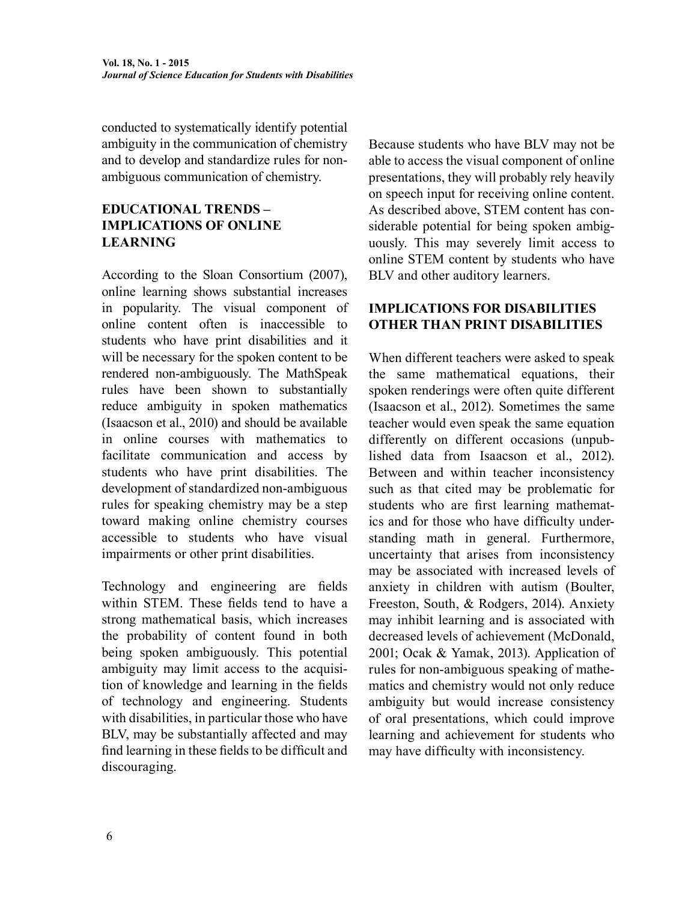conducted to systematically identify potential ambiguity in the communication of chemistry and to develop and standardize rules for nonambiguous communication of chemistry.

# **EDUCATIONAL TRENDS – IMPLICATIONS OF ONLINE LEARNING**

According to the Sloan Consortium (2007), online learning shows substantial increases in popularity. The visual component of online content often is inaccessible to students who have print disabilities and it will be necessary for the spoken content to be rendered non-ambiguously. The MathSpeak rules have been shown to substantially reduce ambiguity in spoken mathematics (Isaacson et al., 2010) and should be available in online courses with mathematics to facilitate communication and access by students who have print disabilities. The development of standardized non-ambiguous rules for speaking chemistry may be a step toward making online chemistry courses accessible to students who have visual impairments or other print disabilities.

Technology and engineering are fields within STEM. These fields tend to have a strong mathematical basis, which increases the probability of content found in both being spoken ambiguously. This potential ambiguity may limit access to the acquisition of knowledge and learning in the fields of technology and engineering. Students with disabilities, in particular those who have BLV, may be substantially affected and may find learning in these fields to be difficult and discouraging.

Because students who have BLV may not be able to access the visual component of online presentations, they will probably rely heavily on speech input for receiving online content. As described above, STEM content has considerable potential for being spoken ambiguously. This may severely limit access to online STEM content by students who have BLV and other auditory learners.

#### **IMPLICATIONS FOR DISABILITIES OTHER THAN PRINT DISABILITIES**

When different teachers were asked to speak the same mathematical equations, their spoken renderings were often quite different (Isaacson et al., 2012). Sometimes the same teacher would even speak the same equation differently on different occasions (unpublished data from Isaacson et al., 2012). Between and within teacher inconsistency such as that cited may be problematic for students who are first learning mathematics and for those who have difficulty understanding math in general. Furthermore, uncertainty that arises from inconsistency may be associated with increased levels of anxiety in children with autism (Boulter, Freeston, South, & Rodgers, 2014). Anxiety may inhibit learning and is associated with decreased levels of achievement (McDonald, 2001; Ocak & Yamak, 2013). Application of rules for non-ambiguous speaking of mathematics and chemistry would not only reduce ambiguity but would increase consistency of oral presentations, which could improve learning and achievement for students who may have difficulty with inconsistency.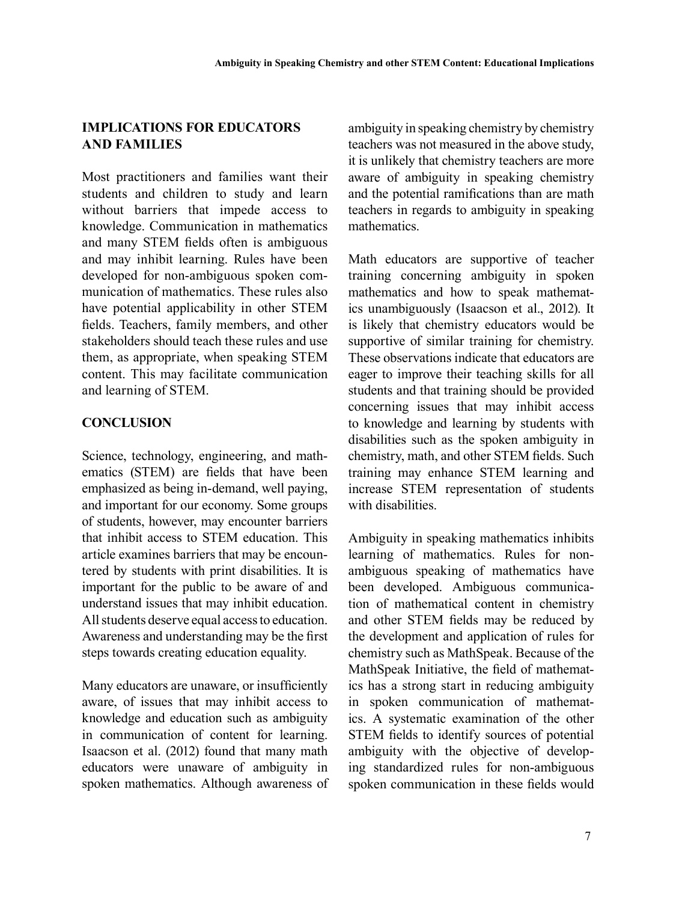#### **IMPLICATIONS FOR EDUCATORS AND FAMILIES**

Most practitioners and families want their students and children to study and learn without barriers that impede access to knowledge. Communication in mathematics and many STEM fields often is ambiguous and may inhibit learning. Rules have been developed for non-ambiguous spoken communication of mathematics. These rules also have potential applicability in other STEM fields. Teachers, family members, and other stakeholders should teach these rules and use them, as appropriate, when speaking STEM content. This may facilitate communication and learning of STEM.

# **CONCLUSION**

Science, technology, engineering, and mathematics (STEM) are fields that have been emphasized as being in-demand, well paying, and important for our economy. Some groups of students, however, may encounter barriers that inhibit access to STEM education. This article examines barriers that may be encountered by students with print disabilities. It is important for the public to be aware of and understand issues that may inhibit education. All students deserve equal access to education. Awareness and understanding may be the first steps towards creating education equality.

Many educators are unaware, or insufficiently aware, of issues that may inhibit access to knowledge and education such as ambiguity in communication of content for learning. Isaacson et al. (2012) found that many math educators were unaware of ambiguity in spoken mathematics. Although awareness of ambiguity in speaking chemistry by chemistry teachers was not measured in the above study, it is unlikely that chemistry teachers are more aware of ambiguity in speaking chemistry and the potential ramifications than are math teachers in regards to ambiguity in speaking mathematics.

Math educators are supportive of teacher training concerning ambiguity in spoken mathematics and how to speak mathematics unambiguously (Isaacson et al., 2012). It is likely that chemistry educators would be supportive of similar training for chemistry. These observations indicate that educators are eager to improve their teaching skills for all students and that training should be provided concerning issues that may inhibit access to knowledge and learning by students with disabilities such as the spoken ambiguity in chemistry, math, and other STEM fields. Such training may enhance STEM learning and increase STEM representation of students with disabilities.

Ambiguity in speaking mathematics inhibits learning of mathematics. Rules for nonambiguous speaking of mathematics have been developed. Ambiguous communication of mathematical content in chemistry and other STEM fields may be reduced by the development and application of rules for chemistry such as MathSpeak. Because of the MathSpeak Initiative, the field of mathematics has a strong start in reducing ambiguity in spoken communication of mathematics. A systematic examination of the other STEM fields to identify sources of potential ambiguity with the objective of developing standardized rules for non-ambiguous spoken communication in these fields would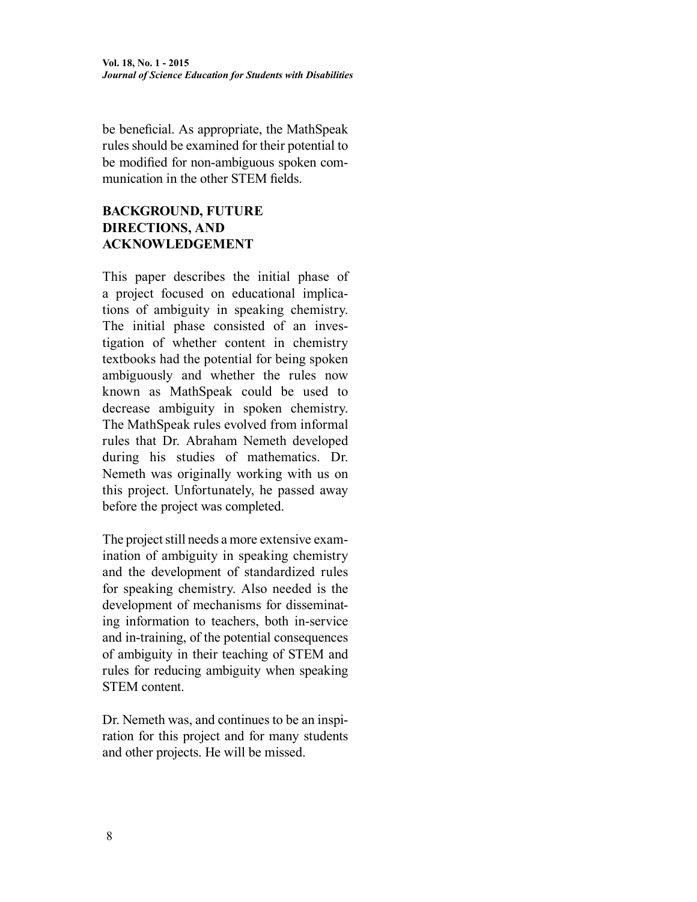be beneficial. As appropriate, the MathSpeak rules should be examined for their potential to be modified for non-ambiguous spoken communication in the other STEM fields.

# **BACKGROUND, FUTURE DIRECTIONS, AND ACKNOWLEDGEMENT**

This paper describes the initial phase of a project focused on educational implications of ambiguity in speaking chemistry. The initial phase consisted of an investigation of whether content in chemistry textbooks had the potential for being spoken ambiguously and whether the rules now known as MathSpeak could be used to decrease ambiguity in spoken chemistry. The MathSpeak rules evolved from informal rules that Dr. Abraham Nemeth developed during his studies of mathematics. Dr. Nemeth was originally working with us on this project. Unfortunately, he passed away before the project was completed.

The project still needs a more extensive examination of ambiguity in speaking chemistry and the development of standardized rules for speaking chemistry. Also needed is the development of mechanisms for disseminating information to teachers, both in-service and in-training, of the potential consequences of ambiguity in their teaching of STEM and rules for reducing ambiguity when speaking STEM content.

Dr. Nemeth was, and continues to be an inspiration for this project and for many students and other projects. He will be missed.